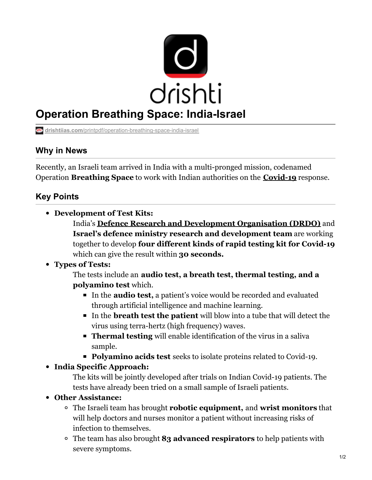

**drishtiias.com**[/printpdf/operation-breathing-space-india-israel](https://www.drishtiias.com/printpdf/operation-breathing-space-india-israel)

### **Why in News**

Recently, an Israeli team arrived in India with a multi-pronged mission, codenamed Operation **Breathing Space** to work with Indian authorities on the **[Covid-19](https://www.drishtiias.com/daily-updates/daily-news-analysis/coronavirus-disease-named-covid-19)** response.

## **Key Points**

**Development of Test Kits:**

India's **Defence Research and [Development](https://www.drishtiias.com/important-institutions/drishti-specials-important-institutions-national-institutions/defence-research-and-development-organisation-drdo) Organisation (DRDO)** and **Israel's defence ministry research and development team** are working together to develop **four different kinds of rapid testing kit for Covid-19** which can give the result within **30 seconds.**

#### **Types of Tests:**

The tests include an **audio test, a breath test, thermal testing, and a polyamino test** which.

- In the **audio test,** a patient's voice would be recorded and evaluated through artificial intelligence and machine learning.
- In the **breath test the patient** will blow into a tube that will detect the virus using terra-hertz (high frequency) waves.
- **Thermal testing** will enable identification of the virus in a saliva sample.
- **Polyamino acids test** seeks to isolate proteins related to Covid-19.
- **India Specific Approach:**

The kits will be jointly developed after trials on Indian Covid-19 patients. The tests have already been tried on a small sample of Israeli patients.

- **Other Assistance:**
	- The Israeli team has brought **robotic equipment,** and **wrist monitors** that will help doctors and nurses monitor a patient without increasing risks of infection to themselves.
	- The team has also brought **83 advanced respirators** to help patients with severe symptoms.